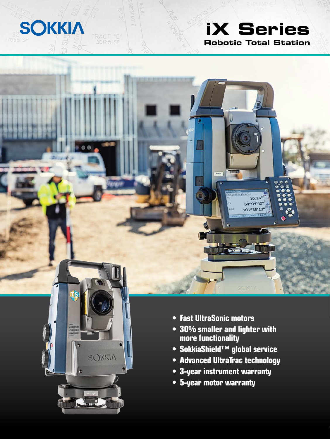# **Robotic Total Station iX Series**

16.26 64°04'40" 101°36'13'



**SOKKIA** 

TRACT "C"<br>30126 SF

- **Fast UltraSonic motors**
- **30% smaller and lighter with more functionality**
- **SokkiaShield™ global service**
- **Advanced UltraTrac technology**
- **3-year instrument warranty**
- **5-year motor warranty**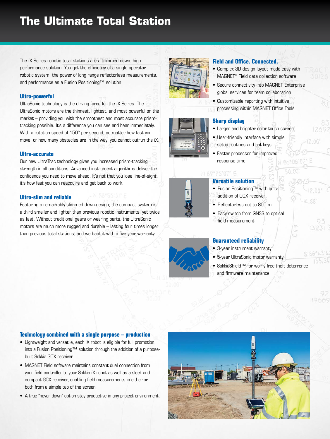# **The Ultimate Total Station**

The iX Series robotic total stations are a trimmed down, highperformance solution. You get the efficiency of a single-operator robotic system, the power of long range reflectorless measurements, and performance as a Fusion Positioning™ solution.

#### **Ultra-powerful**

UltraSonic technology is the driving force for the iX Series. The UltraSonic motors are the thinnest, lightest, and most powerful on the market – providing you with the smoothest and most accurate prismtracking possible. It's a difference you can see and hear immediately. With a rotation speed of 150° per-second, no matter how fast you move, or how many obstacles are in the way, you cannot outrun the iX.

#### **Ultra-accurate**

Our new UltraTrac technology gives you increased prism-tracking strength in all conditions. Advanced instrument algorithms deliver the confidence you need to move ahead. It's not that you lose line-of-sight, it's how fast you can reacquire and get back to work.

#### **Ultra-slim and reliable**

Featuring a remarkably slimmed down design, the compact system is a third smaller and lighter than previous robotic instruments, yet twice as fast. Without traditional gears or wearing parts, the UltraSonic motors are much more rugged and durable – lasting four times longer than previous total stations, and we back it with a five year warranty.



#### **Field and Office. Connected.**

- Complex 3D design layout made easy with MAGNET® Field data collection software
- Secure connectivity into MAGNET Enterprise global services for team collaboration
- Customizable reporting with intuitive processing within MAGNET Office Tools

#### **Sharp display**

- Larger and brighter color touch screen
- User-friendly interface with simple setup routines and hot keys
- Faster processor for improved response time

## N 69"26'07" E

- **Versatile solution** • Fusion Positioning™ with quick
- addition of GCX receiver
- Reflectorless out to 800 m
- Easy switch from GNSS to optical
- field measurement

#### **Guaranteed reliability**

- 3-year instrument warranty
- 5-year UltraSonic motor warranty
- SokkiaShield™ for worry-free theft deterrence and firmware maintenance

#### **Technology combined with a single purpose – production**

- Lightweight and versatile, each iX robot is eligible for full promotion into a Fusion Positioning™ solution through the addition of a purposebuilt Sokkia GCX receiver.
- MAGNET Field software maintains constant duel connection from your field controller to your Sokkia iX robot as well as a sleek and compact GCX receiver, enabling field measurements in either or both from a simple tap of the screen.
- A true "never down" option stay productive in any project environment.

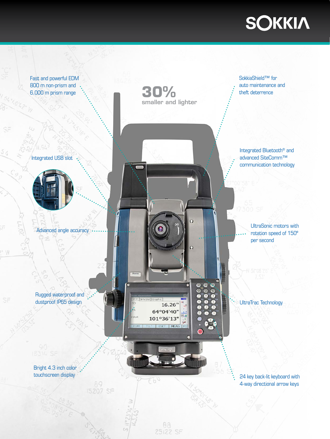# **SOKKIA**